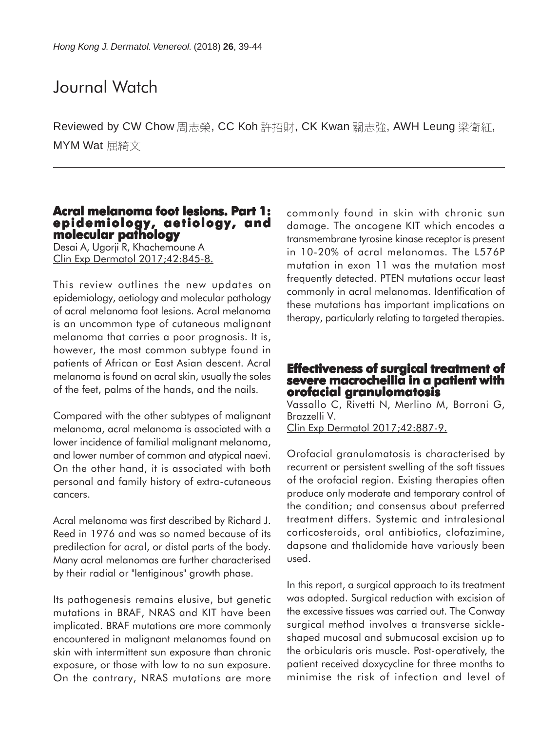# Journal Watch

Reviewed by CW Chow 周志榮, CC Koh 許招財, CK Kwan 關志強, AWH Leung 梁衛紅, MYM Wat 屈綺文

# **Acral melanoma foot lesions. Part 1: epidemiology, aetiology, and molecular pathology**

Desai A, Ugorji R, Khachemoune A Clin Exp Dermatol 2017;42:845-8.

This review outlines the new updates on epidemiology, aetiology and molecular pathology of acral melanoma foot lesions. Acral melanoma is an uncommon type of cutaneous malignant melanoma that carries a poor prognosis. It is, however, the most common subtype found in patients of African or East Asian descent. Acral melanoma is found on acral skin, usually the soles of the feet, palms of the hands, and the nails.

Compared with the other subtypes of malignant melanoma, acral melanoma is associated with a lower incidence of familial malignant melanoma, and lower number of common and atypical naevi. On the other hand, it is associated with both personal and family history of extra-cutaneous cancers.

Acral melanoma was first described by Richard J. Reed in 1976 and was so named because of its predilection for acral, or distal parts of the body. Many acral melanomas are further characterised by their radial or "lentiginous" growth phase.

Its pathogenesis remains elusive, but genetic mutations in BRAF, NRAS and KIT have been implicated. BRAF mutations are more commonly encountered in malignant melanomas found on skin with intermittent sun exposure than chronic exposure, or those with low to no sun exposure. On the contrary, NRAS mutations are more commonly found in skin with chronic sun damage. The oncogene KIT which encodes a transmembrane tyrosine kinase receptor is present in 10-20% of acral melanomas. The L576P mutation in exon 11 was the mutation most frequently detected. PTEN mutations occur least commonly in acral melanomas. Identification of these mutations has important implications on therapy, particularly relating to targeted therapies.

### **Effectiveness of surgical treatment of severe macrocheilia in a patient with orofacial granulomatosis**

Vassallo C, Rivetti N, Merlino M, Borroni G, Brazzelli V.

Clin Exp Dermatol 2017;42:887-9.

Orofacial granulomatosis is characterised by recurrent or persistent swelling of the soft tissues of the orofacial region. Existing therapies often produce only moderate and temporary control of the condition; and consensus about preferred treatment differs. Systemic and intralesional corticosteroids, oral antibiotics, clofazimine, dapsone and thalidomide have variously been used.

In this report, a surgical approach to its treatment was adopted. Surgical reduction with excision of the excessive tissues was carried out. The Conway surgical method involves a transverse sickleshaped mucosal and submucosal excision up to the orbicularis oris muscle. Post-operatively, the patient received doxycycline for three months to minimise the risk of infection and level of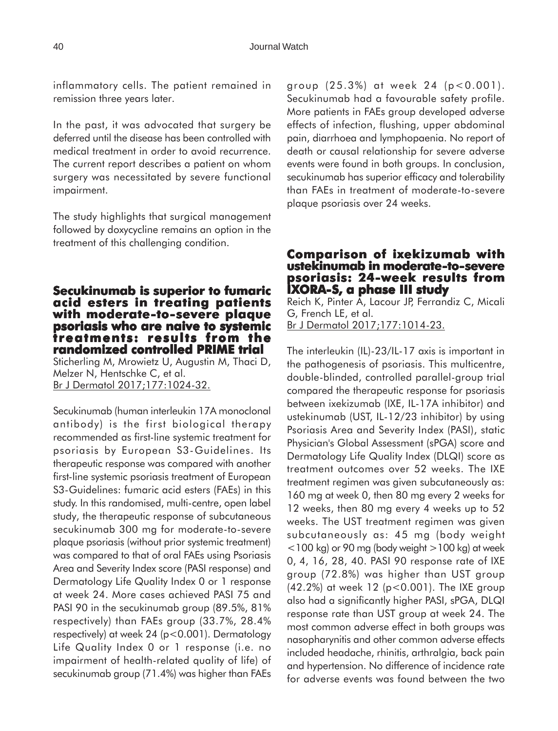inflammatory cells. The patient remained in remission three years later.

In the past, it was advocated that surgery be deferred until the disease has been controlled with medical treatment in order to avoid recurrence. The current report describes a patient on whom surgery was necessitated by severe functional impairment.

The study highlights that surgical management followed by doxycycline remains an option in the treatment of this challenging condition.

# **Secukinumab is superior to fumaric acid esters in treating patients with moderate-to-severe plaque psoriasis who are naive to systemic treatments: results from the randomized controlled PRIME trial PRIME trial**

Sticherling M, Mrowietz U, Augustin M, Thaci D, Melzer N, Hentschke C, et al. Br J Dermatol 2017;177:1024-32.

Secukinumab (human interleukin 17A monoclonal antibody) is the first biological therapy recommended as first-line systemic treatment for psoriasis by European S3-Guidelines. Its therapeutic response was compared with another first-line systemic psoriasis treatment of European S3-Guidelines: fumaric acid esters (FAEs) in this study. In this randomised, multi-centre, open label study, the therapeutic response of subcutaneous secukinumab 300 mg for moderate-to-severe plaque psoriasis (without prior systemic treatment) was compared to that of oral FAEs using Psoriasis Area and Severity Index score (PASI response) and Dermatology Life Quality Index 0 or 1 response at week 24. More cases achieved PASI 75 and PASI 90 in the secukinumab group (89.5%, 81% respectively) than FAEs group (33.7%, 28.4% respectively) at week 24 (p<0.001). Dermatology Life Quality Index 0 or 1 response (i.e. no impairment of health-related quality of life) of secukinumab group (71.4%) was higher than FAEs group (25.3%) at week 24 (p<0.001). Secukinumab had a favourable safety profile. More patients in FAEs group developed adverse effects of infection, flushing, upper abdominal pain, diarrhoea and lymphopaenia. No report of death or causal relationship for severe adverse events were found in both groups. In conclusion, secukinumab has superior efficacy and tolerability than FAEs in treatment of moderate-to-severe plaque psoriasis over 24 weeks.

#### **Comparison of ixekizumab with ustekinumab in moderate-to-severe psoriasis: 24-week results from IXORA-S, a phase III study**

Reich K, Pinter A, Lacour JP, Ferrandiz C, Micali G, French LE, et al. Br J Dermatol 2017;177:1014-23.

The interleukin (IL)-23/IL-17 axis is important in the pathogenesis of psoriasis. This multicentre, double-blinded, controlled parallel-group trial compared the therapeutic response for psoriasis between ixekizumab (IXE, IL-17A inhibitor) and ustekinumab (UST, IL-12/23 inhibitor) by using Psoriasis Area and Severity Index (PASI), static Physician's Global Assessment (sPGA) score and Dermatology Life Quality Index (DLQI) score as treatment outcomes over 52 weeks. The IXE treatment regimen was given subcutaneously as: 160 mg at week 0, then 80 mg every 2 weeks for 12 weeks, then 80 mg every 4 weeks up to 52 weeks. The UST treatment regimen was given subcutaneously as: 45 mg (body weight  $<$ 100 kg) or 90 mg (body weight  $>$  100 kg) at week 0, 4, 16, 28, 40. PASI 90 response rate of IXE group (72.8%) was higher than UST group (42.2%) at week 12 (p<0.001). The IXE group also had a significantly higher PASI, sPGA, DLQI response rate than UST group at week 24. The most common adverse effect in both groups was nasopharynitis and other common adverse effects included headache, rhinitis, arthralgia, back pain and hypertension. No difference of incidence rate for adverse events was found between the two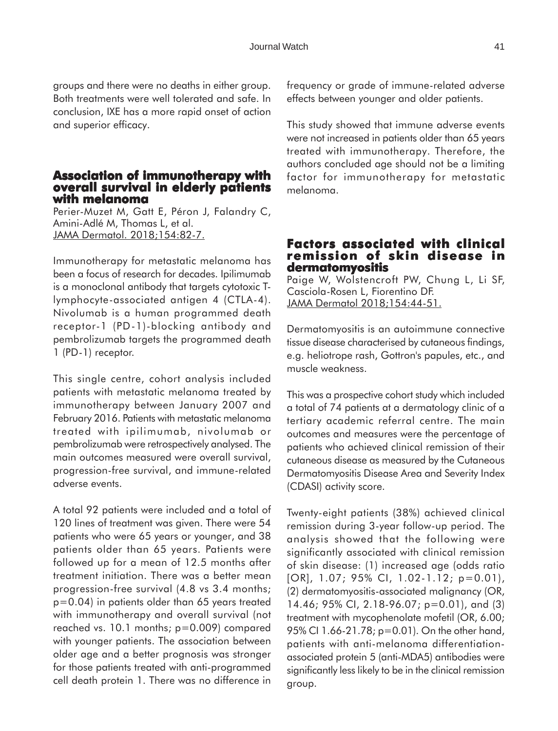groups and there were no deaths in either group. Both treatments were well tolerated and safe. In conclusion, IXE has a more rapid onset of action and superior efficacy.

#### **Association of immunotherapy with overall survival in elderly patients with melanoma**

Perier-Muzet M, Gatt E, Péron J, Falandry C, Amini-Adlé M, Thomas L, et al. JAMA Dermatol. 2018;154:82-7.

Immunotherapy for metastatic melanoma has been a focus of research for decades. Ipilimumab is a monoclonal antibody that targets cytotoxic Tlymphocyte-associated antigen 4 (CTLA-4). Nivolumab is a human programmed death receptor-1 (PD-1)-blocking antibody and pembrolizumab targets the programmed death 1 (PD-1) receptor.

This single centre, cohort analysis included patients with metastatic melanoma treated by immunotherapy between January 2007 and February 2016. Patients with metastatic melanoma treated with ipilimumab, nivolumab or pembrolizumab were retrospectively analysed. The main outcomes measured were overall survival, progression-free survival, and immune-related adverse events.

A total 92 patients were included and a total of 120 lines of treatment was given. There were 54 patients who were 65 years or younger, and 38 patients older than 65 years. Patients were followed up for a mean of 12.5 months after treatment initiation. There was a better mean progression-free survival (4.8 vs 3.4 months; p=0.04) in patients older than 65 years treated with immunotherapy and overall survival (not reached vs. 10.1 months; p=0.009) compared with younger patients. The association between older age and a better prognosis was stronger for those patients treated with anti-programmed cell death protein 1. There was no difference in

frequency or grade of immune-related adverse effects between younger and older patients.

This study showed that immune adverse events were not increased in patients older than 65 years treated with immunotherapy. Therefore, the authors concluded age should not be a limiting factor for immunotherapy for metastatic melanoma.

# **Factors associated with clinical with clinical remission of skin disease in dermatomyositis**

Paige W, Wolstencroft PW, Chung L, Li SF, Casciola-Rosen L, Fiorentino DF. JAMA Dermatol 2018;154:44-51.

Dermatomyositis is an autoimmune connective tissue disease characterised by cutaneous findings, e.g. heliotrope rash, Gottron's papules, etc., and muscle weakness.

This was a prospective cohort study which included a total of 74 patients at a dermatology clinic of a tertiary academic referral centre. The main outcomes and measures were the percentage of patients who achieved clinical remission of their cutaneous disease as measured by the Cutaneous Dermatomyositis Disease Area and Severity Index (CDASI) activity score.

Twenty-eight patients (38%) achieved clinical remission during 3-year follow-up period. The analysis showed that the following were significantly associated with clinical remission of skin disease: (1) increased age (odds ratio [OR], 1.07; 95% CI, 1.02-1.12; p=0.01), (2) dermatomyositis-associated malignancy (OR, 14.46; 95% CI, 2.18-96.07; p=0.01), and (3) treatment with mycophenolate mofetil (OR, 6.00; 95% CI 1.66-21.78; p=0.01). On the other hand, patients with anti-melanoma differentiationassociated protein 5 (anti-MDA5) antibodies were significantly less likely to be in the clinical remission group.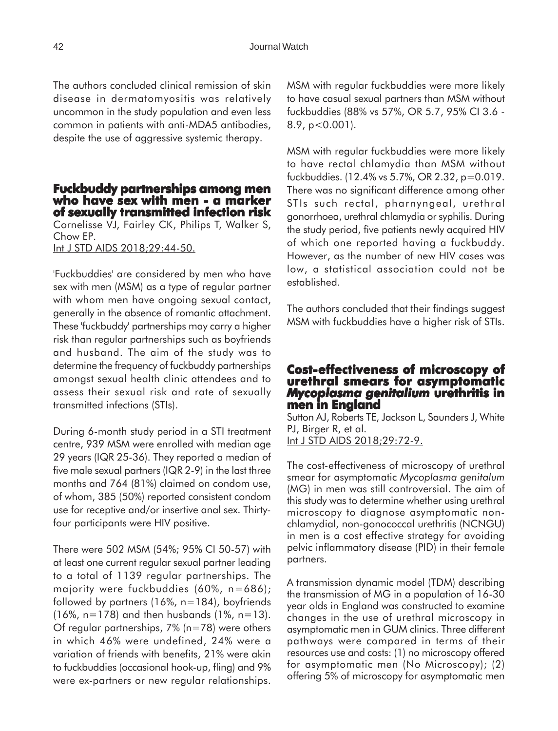The authors concluded clinical remission of skin disease in dermatomyositis was relatively uncommon in the study population and even less common in patients with anti-MDA5 antibodies, despite the use of aggressive systemic therapy.

### **Fuckbuddy partnerships among men who have sex with men - a marker of sexually transmitted infection risk**

Cornelisse VJ, Fairley CK, Philips T, Walker S, Chow EP.

Int J STD AIDS 2018;29:44-50.

'Fuckbuddies' are considered by men who have sex with men (MSM) as a type of regular partner with whom men have ongoing sexual contact, generally in the absence of romantic attachment. These 'fuckbuddy' partnerships may carry a higher risk than regular partnerships such as boyfriends and husband. The aim of the study was to determine the frequency of fuckbuddy partnerships amongst sexual health clinic attendees and to assess their sexual risk and rate of sexually transmitted infections (STIs).

During 6-month study period in a STI treatment centre, 939 MSM were enrolled with median age 29 years (IQR 25-36). They reported a median of five male sexual partners (IQR 2-9) in the last three months and 764 (81%) claimed on condom use, of whom, 385 (50%) reported consistent condom use for receptive and/or insertive anal sex. Thirtyfour participants were HIV positive.

There were 502 MSM (54%; 95% CI 50-57) with at least one current regular sexual partner leading to a total of 1139 regular partnerships. The majority were fuckbuddies (60%, n=686); followed by partners (16%, n=184), boyfriends (16%, n=178) and then husbands (1%, n=13). Of regular partnerships, 7% (n=78) were others in which 46% were undefined, 24% were a variation of friends with benefits, 21% were akin to fuckbuddies (occasional hook-up, fling) and 9% were ex-partners or new regular relationships.

MSM with regular fuckbuddies were more likely to have casual sexual partners than MSM without fuckbuddies (88% vs 57%, OR 5.7, 95% CI 3.6 - 8.9, p<0.001).

MSM with regular fuckbuddies were more likely to have rectal chlamydia than MSM without fuckbuddies. (12.4% vs 5.7%, OR 2.32, p=0.019. There was no significant difference among other STIs such rectal, pharnyngeal, urethral gonorrhoea, urethral chlamydia or syphilis. During the study period, five patients newly acquired HIV of which one reported having a fuckbuddy. However, as the number of new HIV cases was low, a statistical association could not be established.

The authors concluded that their findings suggest MSM with fuckbuddies have a higher risk of STIs.

# **Cost-effectiveness of microscopy of effectiveness of urethral smears for asymptomatic** *Mycoplasma genitalium* **urethritis in men in England**

Sutton AJ, Roberts TE, Jackson L, Saunders J, White PJ, Birger R, et al. Int J STD AIDS 2018;29:72-9.

The cost-effectiveness of microscopy of urethral smear for asymptomatic *Mycoplasma genitalum* (MG) in men was still controversial. The aim of this study was to determine whether using urethral microscopy to diagnose asymptomatic nonchlamydial, non-gonococcal urethritis (NCNGU) in men is a cost effective strategy for avoiding pelvic inflammatory disease (PID) in their female partners.

A transmission dynamic model (TDM) describing the transmission of MG in a population of 16-30 year olds in England was constructed to examine changes in the use of urethral microscopy in asymptomatic men in GUM clinics. Three different pathways were compared in terms of their resources use and costs: (1) no microscopy offered for asymptomatic men (No Microscopy); (2) offering 5% of microscopy for asymptomatic men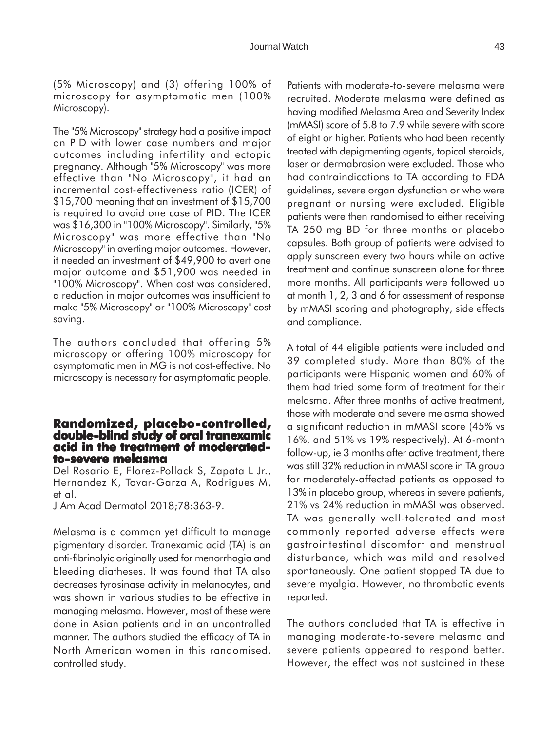The "5% Microscopy" strategy had a positive impact on PID with lower case numbers and major outcomes including infertility and ectopic pregnancy. Although "5% Microscopy" was more effective than "No Microscopy", it had an incremental cost-effectiveness ratio (ICER) of \$15,700 meaning that an investment of \$15,700 is required to avoid one case of PID. The ICER was \$16,300 in "100% Microscopy". Similarly, "5% Microscopy" was more effective than "No Microscopy" in averting major outcomes. However, it needed an investment of \$49,900 to avert one major outcome and \$51,900 was needed in "100% Microscopy". When cost was considered, a reduction in major outcomes was insufficient to make "5% Microscopy" or "100% Microscopy" cost saving.

Microscopy).

The authors concluded that offering 5% microscopy or offering 100% microscopy for asymptomatic men in MG is not cost-effective. No microscopy is necessary for asymptomatic people.

### **Randomized, placebo-controlled, controlled, double-blind study of oral tranexamic acid in the treatment of moderatedto-severe melasma**

Del Rosario E, Florez-Pollack S, Zapata L Jr., Hernandez K, Tovar-Garza A, Rodrigues M, et al.

J Am Acad Dermatol 2018;78:363-9.

Melasma is a common yet difficult to manage pigmentary disorder. Tranexamic acid (TA) is an anti-fibrinolyic originally used for menorrhagia and bleeding diatheses. It was found that TA also decreases tyrosinase activity in melanocytes, and was shown in various studies to be effective in managing melasma. However, most of these were done in Asian patients and in an uncontrolled manner. The authors studied the efficacy of TA in North American women in this randomised, controlled study.

Patients with moderate-to-severe melasma were recruited. Moderate melasma were defined as having modified Melasma Area and Severity Index (mMASI) score of 5.8 to 7.9 while severe with score of eight or higher. Patients who had been recently treated with depigmenting agents, topical steroids, laser or dermabrasion were excluded. Those who had contraindications to TA according to FDA guidelines, severe organ dysfunction or who were pregnant or nursing were excluded. Eligible patients were then randomised to either receiving TA 250 mg BD for three months or placebo capsules. Both group of patients were advised to apply sunscreen every two hours while on active treatment and continue sunscreen alone for three more months. All participants were followed up at month 1, 2, 3 and 6 for assessment of response by mMASI scoring and photography, side effects and compliance.

A total of 44 eligible patients were included and 39 completed study. More than 80% of the participants were Hispanic women and 60% of them had tried some form of treatment for their melasma. After three months of active treatment, those with moderate and severe melasma showed a significant reduction in mMASI score (45% vs 16%, and 51% vs 19% respectively). At 6-month follow-up, ie 3 months after active treatment, there was still 32% reduction in mMASI score in TA group for moderately-affected patients as opposed to 13% in placebo group, whereas in severe patients, 21% vs 24% reduction in mMASI was observed. TA was generally well-tolerated and most commonly reported adverse effects were gastrointestinal discomfort and menstrual disturbance, which was mild and resolved spontaneously. One patient stopped TA due to severe myalgia. However, no thrombotic events reported.

The authors concluded that TA is effective in managing moderate-to-severe melasma and severe patients appeared to respond better. However, the effect was not sustained in these